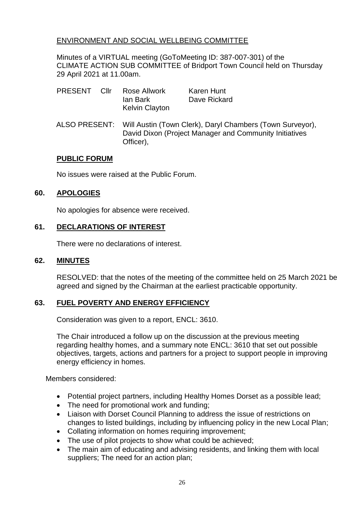## ENVIRONMENT AND SOCIAL WELLBEING COMMITTEE

Minutes of a VIRTUAL meeting (GoToMeeting ID: 387-007-301) of the CLIMATE ACTION SUB COMMITTEE of Bridport Town Council held on Thursday 29 April 2021 at 11.00am.

| <b>PRESENT</b> | Cllr | Rose Allwork          | Karen Hunt   |
|----------------|------|-----------------------|--------------|
|                |      | lan Bark              | Dave Rickard |
|                |      | <b>Kelvin Clayton</b> |              |

ALSO PRESENT: Will Austin (Town Clerk), Daryl Chambers (Town Surveyor), David Dixon (Project Manager and Community Initiatives Officer),

#### **PUBLIC FORUM**

No issues were raised at the Public Forum.

### **60. APOLOGIES**

No apologies for absence were received.

### **61. DECLARATIONS OF INTEREST**

There were no declarations of interest.

#### **62. MINUTES**

RESOLVED: that the notes of the meeting of the committee held on 25 March 2021 be agreed and signed by the Chairman at the earliest practicable opportunity.

## **63. FUEL POVERTY AND ENERGY EFFICIENCY**

Consideration was given to a report, ENCL: 3610.

The Chair introduced a follow up on the discussion at the previous meeting regarding healthy homes, and a summary note ENCL: 3610 that set out possible objectives, targets, actions and partners for a project to support people in improving energy efficiency in homes.

Members considered:

- Potential project partners, including Healthy Homes Dorset as a possible lead;
- The need for promotional work and funding:
- Liaison with Dorset Council Planning to address the issue of restrictions on changes to listed buildings, including by influencing policy in the new Local Plan;
- Collating information on homes requiring improvement;
- The use of pilot projects to show what could be achieved;
- The main aim of educating and advising residents, and linking them with local suppliers; The need for an action plan;